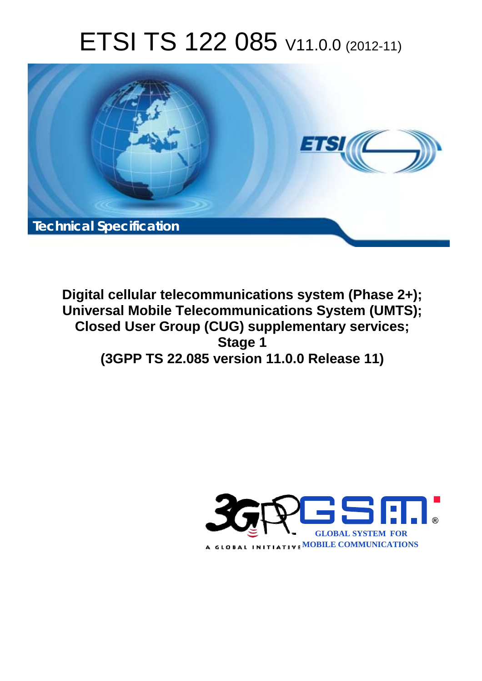# ETSI TS 122 085 V11.0.0 (2012-11)



**Digital cellular telecommunications system (Phase 2+); Universal Mobile Telecommunications System (UMTS); Closed User Group (CUG) supplementary services; Stage 1 (3GPP TS 22.085 version 11.0.0 Release 11)** 

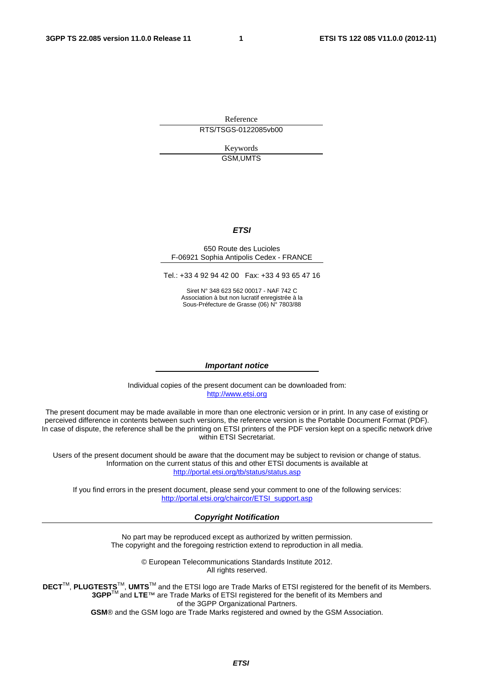Reference RTS/TSGS-0122085vb00

> Keywords GSM,UMTS

#### *ETSI*

#### 650 Route des Lucioles F-06921 Sophia Antipolis Cedex - FRANCE

Tel.: +33 4 92 94 42 00 Fax: +33 4 93 65 47 16

Siret N° 348 623 562 00017 - NAF 742 C Association à but non lucratif enregistrée à la Sous-Préfecture de Grasse (06) N° 7803/88

#### *Important notice*

Individual copies of the present document can be downloaded from: [http://www.etsi.org](http://www.etsi.org/)

The present document may be made available in more than one electronic version or in print. In any case of existing or perceived difference in contents between such versions, the reference version is the Portable Document Format (PDF). In case of dispute, the reference shall be the printing on ETSI printers of the PDF version kept on a specific network drive within ETSI Secretariat.

Users of the present document should be aware that the document may be subject to revision or change of status. Information on the current status of this and other ETSI documents is available at <http://portal.etsi.org/tb/status/status.asp>

If you find errors in the present document, please send your comment to one of the following services: [http://portal.etsi.org/chaircor/ETSI\\_support.asp](http://portal.etsi.org/chaircor/ETSI_support.asp)

#### *Copyright Notification*

No part may be reproduced except as authorized by written permission. The copyright and the foregoing restriction extend to reproduction in all media.

> © European Telecommunications Standards Institute 2012. All rights reserved.

DECT<sup>™</sup>, PLUGTESTS<sup>™</sup>, UMTS<sup>™</sup> and the ETSI logo are Trade Marks of ETSI registered for the benefit of its Members. **3GPP**TM and **LTE**™ are Trade Marks of ETSI registered for the benefit of its Members and of the 3GPP Organizational Partners.

**GSM**® and the GSM logo are Trade Marks registered and owned by the GSM Association.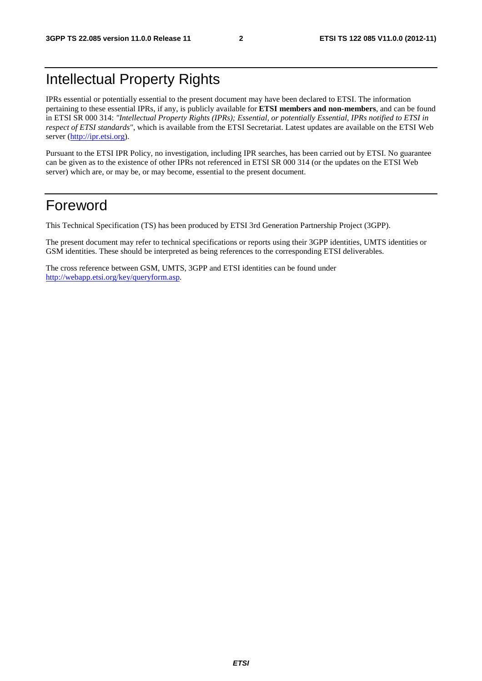# Intellectual Property Rights

IPRs essential or potentially essential to the present document may have been declared to ETSI. The information pertaining to these essential IPRs, if any, is publicly available for **ETSI members and non-members**, and can be found in ETSI SR 000 314: *"Intellectual Property Rights (IPRs); Essential, or potentially Essential, IPRs notified to ETSI in respect of ETSI standards"*, which is available from the ETSI Secretariat. Latest updates are available on the ETSI Web server [\(http://ipr.etsi.org](http://webapp.etsi.org/IPR/home.asp)).

Pursuant to the ETSI IPR Policy, no investigation, including IPR searches, has been carried out by ETSI. No guarantee can be given as to the existence of other IPRs not referenced in ETSI SR 000 314 (or the updates on the ETSI Web server) which are, or may be, or may become, essential to the present document.

# Foreword

This Technical Specification (TS) has been produced by ETSI 3rd Generation Partnership Project (3GPP).

The present document may refer to technical specifications or reports using their 3GPP identities, UMTS identities or GSM identities. These should be interpreted as being references to the corresponding ETSI deliverables.

The cross reference between GSM, UMTS, 3GPP and ETSI identities can be found under [http://webapp.etsi.org/key/queryform.asp.](http://webapp.etsi.org/key/queryform.asp)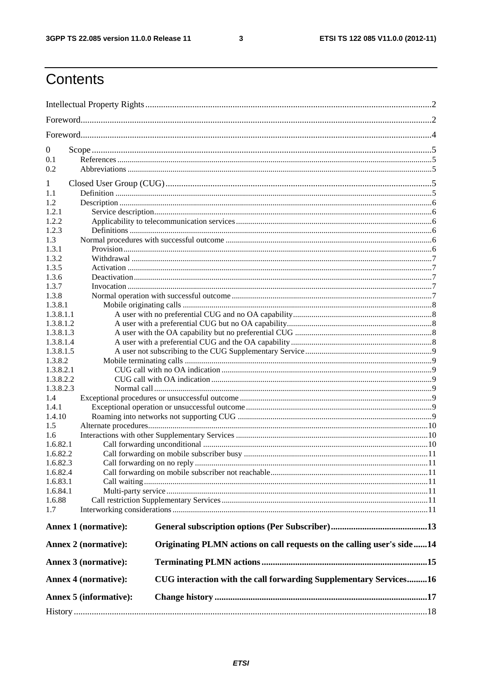$\mathbf{3}$ 

# Contents

| $\boldsymbol{0}$ |                             |                                                                        |  |  |  |  |  |
|------------------|-----------------------------|------------------------------------------------------------------------|--|--|--|--|--|
| 0.1              |                             |                                                                        |  |  |  |  |  |
| 0.2              |                             |                                                                        |  |  |  |  |  |
|                  |                             |                                                                        |  |  |  |  |  |
| 1                |                             |                                                                        |  |  |  |  |  |
| 1.1              |                             |                                                                        |  |  |  |  |  |
| 1.2              |                             |                                                                        |  |  |  |  |  |
| 1.2.1            |                             |                                                                        |  |  |  |  |  |
| 1.2.2            |                             |                                                                        |  |  |  |  |  |
| 1.2.3            |                             |                                                                        |  |  |  |  |  |
| 1.3              |                             |                                                                        |  |  |  |  |  |
| 1.3.1            |                             |                                                                        |  |  |  |  |  |
| 1.3.2            |                             |                                                                        |  |  |  |  |  |
| 1.3.5            |                             |                                                                        |  |  |  |  |  |
| 1.3.6            |                             |                                                                        |  |  |  |  |  |
| 1.3.7            |                             |                                                                        |  |  |  |  |  |
| 1.3.8            |                             |                                                                        |  |  |  |  |  |
| 1.3.8.1          |                             |                                                                        |  |  |  |  |  |
| 1.3.8.1.1        |                             |                                                                        |  |  |  |  |  |
| 1.3.8.1.2        |                             |                                                                        |  |  |  |  |  |
| 1.3.8.1.3        |                             |                                                                        |  |  |  |  |  |
| 1.3.8.1.4        |                             |                                                                        |  |  |  |  |  |
| 1.3.8.1.5        |                             |                                                                        |  |  |  |  |  |
| 1.3.8.2          |                             |                                                                        |  |  |  |  |  |
| 1.3.8.2.1        |                             |                                                                        |  |  |  |  |  |
|                  | 1.3.8.2.2                   |                                                                        |  |  |  |  |  |
| 1.3.8.2.3        |                             |                                                                        |  |  |  |  |  |
| 1.4              |                             |                                                                        |  |  |  |  |  |
| 1.4.1            |                             |                                                                        |  |  |  |  |  |
| 1.4.10           |                             |                                                                        |  |  |  |  |  |
| 1.5              |                             |                                                                        |  |  |  |  |  |
| 1.6              |                             |                                                                        |  |  |  |  |  |
| 1.6.82.1         |                             |                                                                        |  |  |  |  |  |
| 1.6.82.2         |                             |                                                                        |  |  |  |  |  |
| 1.6.82.3         |                             |                                                                        |  |  |  |  |  |
| 1.6.82.4         |                             |                                                                        |  |  |  |  |  |
| 1.6.83.1         |                             |                                                                        |  |  |  |  |  |
| 1.6.84.1         |                             |                                                                        |  |  |  |  |  |
| 1.6.88           |                             |                                                                        |  |  |  |  |  |
| 1.7              |                             |                                                                        |  |  |  |  |  |
|                  | <b>Annex 1 (normative):</b> |                                                                        |  |  |  |  |  |
|                  | Annex 2 (normative):        | Originating PLMN actions on call requests on the calling user's side14 |  |  |  |  |  |
|                  | Annex 3 (normative):        |                                                                        |  |  |  |  |  |
|                  | <b>Annex 4 (normative):</b> | CUG interaction with the call forwarding Supplementary Services16      |  |  |  |  |  |
|                  | Annex 5 (informative):      |                                                                        |  |  |  |  |  |
|                  |                             |                                                                        |  |  |  |  |  |
|                  |                             |                                                                        |  |  |  |  |  |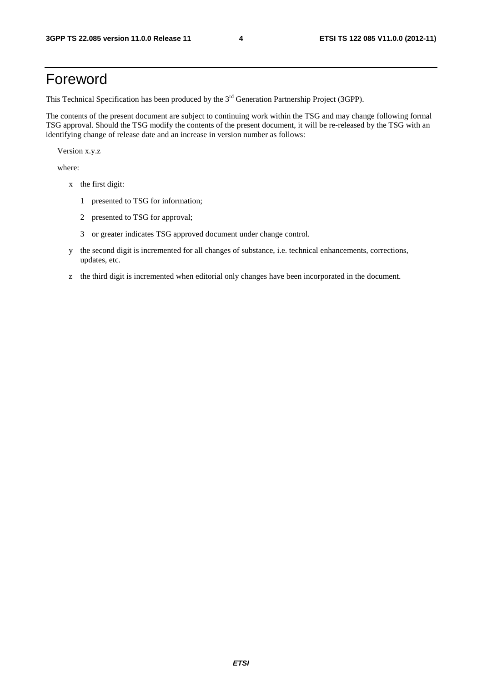# Foreword

This Technical Specification has been produced by the 3<sup>rd</sup> Generation Partnership Project (3GPP).

The contents of the present document are subject to continuing work within the TSG and may change following formal TSG approval. Should the TSG modify the contents of the present document, it will be re-released by the TSG with an identifying change of release date and an increase in version number as follows:

Version x.y.z

where:

- x the first digit:
	- 1 presented to TSG for information;
	- 2 presented to TSG for approval;
	- 3 or greater indicates TSG approved document under change control.
- y the second digit is incremented for all changes of substance, i.e. technical enhancements, corrections, updates, etc.
- z the third digit is incremented when editorial only changes have been incorporated in the document.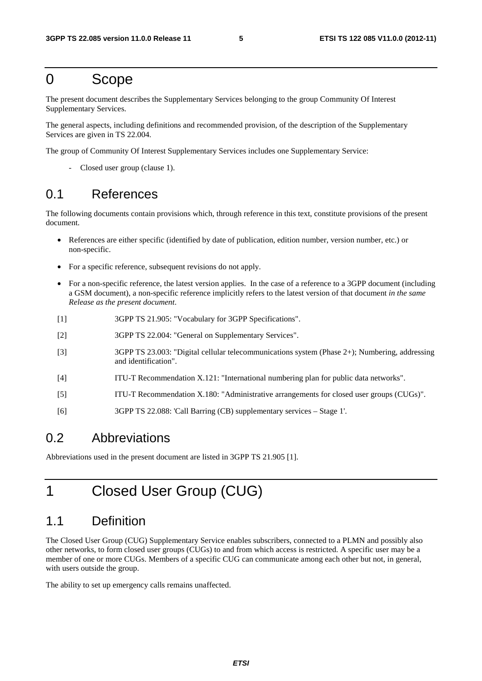# 0 Scope

The present document describes the Supplementary Services belonging to the group Community Of Interest Supplementary Services.

The general aspects, including definitions and recommended provision, of the description of the Supplementary Services are given in TS 22.004.

The group of Community Of Interest Supplementary Services includes one Supplementary Service:

Closed user group (clause 1).

# 0.1 References

The following documents contain provisions which, through reference in this text, constitute provisions of the present document.

- References are either specific (identified by date of publication, edition number, version number, etc.) or non-specific.
- For a specific reference, subsequent revisions do not apply.
- For a non-specific reference, the latest version applies. In the case of a reference to a 3GPP document (including a GSM document), a non-specific reference implicitly refers to the latest version of that document *in the same Release as the present document*.
- [1] 3GPP TS 21.905: "Vocabulary for 3GPP Specifications".
- [2] 3GPP TS 22.004: "General on Supplementary Services".
- [3] 3GPP TS 23.003: "Digital cellular telecommunications system (Phase 2+); Numbering, addressing and identification".
- [4] ITU-T Recommendation X.121: "International numbering plan for public data networks".
- [5] ITU-T Recommendation X.180: "Administrative arrangements for closed user groups (CUGs)".
- [6] 3GPP TS 22.088: 'Call Barring (CB) supplementary services Stage 1'.

### 0.2 Abbreviations

Abbreviations used in the present document are listed in 3GPP TS 21.905 [1].

# 1 Closed User Group (CUG)

# 1.1 Definition

The Closed User Group (CUG) Supplementary Service enables subscribers, connected to a PLMN and possibly also other networks, to form closed user groups (CUGs) to and from which access is restricted. A specific user may be a member of one or more CUGs. Members of a specific CUG can communicate among each other but not, in general, with users outside the group.

The ability to set up emergency calls remains unaffected.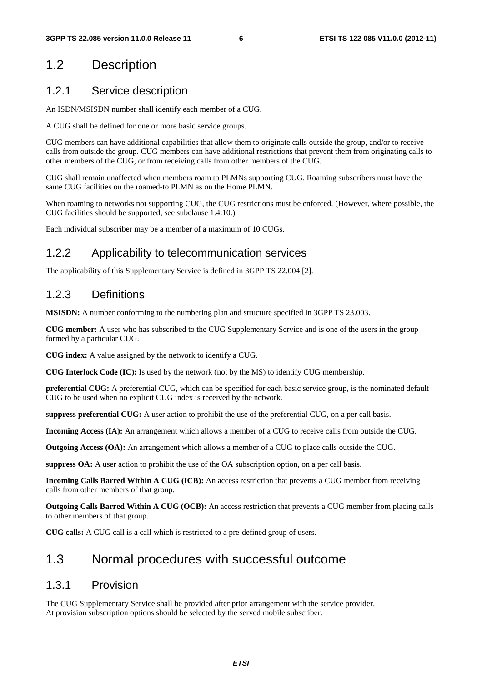# 1.2 Description

### 1.2.1 Service description

An ISDN/MSISDN number shall identify each member of a CUG.

A CUG shall be defined for one or more basic service groups.

CUG members can have additional capabilities that allow them to originate calls outside the group, and/or to receive calls from outside the group. CUG members can have additional restrictions that prevent them from originating calls to other members of the CUG, or from receiving calls from other members of the CUG.

CUG shall remain unaffected when members roam to PLMNs supporting CUG. Roaming subscribers must have the same CUG facilities on the roamed-to PLMN as on the Home PLMN.

When roaming to networks not supporting CUG, the CUG restrictions must be enforced. (However, where possible, the CUG facilities should be supported, see subclause 1.4.10.)

Each individual subscriber may be a member of a maximum of 10 CUGs.

### 1.2.2 Applicability to telecommunication services

The applicability of this Supplementary Service is defined in 3GPP TS 22.004 [2].

### 1.2.3 Definitions

**MSISDN:** A number conforming to the numbering plan and structure specified in 3GPP TS 23.003.

**CUG member:** A user who has subscribed to the CUG Supplementary Service and is one of the users in the group formed by a particular CUG.

**CUG index:** A value assigned by the network to identify a CUG.

**CUG Interlock Code (IC):** Is used by the network (not by the MS) to identify CUG membership.

**preferential CUG:** A preferential CUG, which can be specified for each basic service group, is the nominated default CUG to be used when no explicit CUG index is received by the network.

**suppress preferential CUG:** A user action to prohibit the use of the preferential CUG, on a per call basis.

**Incoming Access (IA):** An arrangement which allows a member of a CUG to receive calls from outside the CUG.

**Outgoing Access (OA):** An arrangement which allows a member of a CUG to place calls outside the CUG.

**suppress OA:** A user action to prohibit the use of the OA subscription option, on a per call basis.

**Incoming Calls Barred Within A CUG (ICB):** An access restriction that prevents a CUG member from receiving calls from other members of that group.

**Outgoing Calls Barred Within A CUG (OCB):** An access restriction that prevents a CUG member from placing calls to other members of that group.

**CUG calls:** A CUG call is a call which is restricted to a pre-defined group of users.

# 1.3 Normal procedures with successful outcome

### 1.3.1 Provision

The CUG Supplementary Service shall be provided after prior arrangement with the service provider. At provision subscription options should be selected by the served mobile subscriber.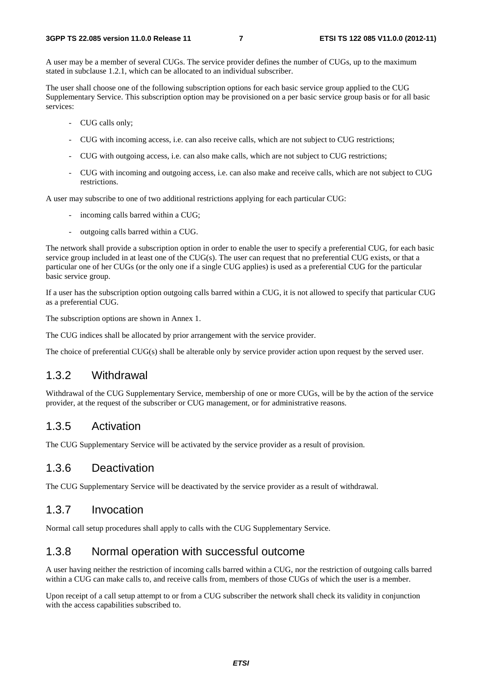A user may be a member of several CUGs. The service provider defines the number of CUGs, up to the maximum stated in subclause 1.2.1, which can be allocated to an individual subscriber.

The user shall choose one of the following subscription options for each basic service group applied to the CUG Supplementary Service. This subscription option may be provisioned on a per basic service group basis or for all basic services:

- CUG calls only;
- CUG with incoming access, i.e. can also receive calls, which are not subject to CUG restrictions;
- CUG with outgoing access, i.e. can also make calls, which are not subject to CUG restrictions;
- CUG with incoming and outgoing access, i.e. can also make and receive calls, which are not subject to CUG restrictions.

A user may subscribe to one of two additional restrictions applying for each particular CUG:

- incoming calls barred within a CUG;
- outgoing calls barred within a CUG.

The network shall provide a subscription option in order to enable the user to specify a preferential CUG, for each basic service group included in at least one of the CUG(s). The user can request that no preferential CUG exists, or that a particular one of her CUGs (or the only one if a single CUG applies) is used as a preferential CUG for the particular basic service group.

If a user has the subscription option outgoing calls barred within a CUG, it is not allowed to specify that particular CUG as a preferential CUG.

The subscription options are shown in Annex 1.

The CUG indices shall be allocated by prior arrangement with the service provider.

The choice of preferential CUG(s) shall be alterable only by service provider action upon request by the served user.

#### 1.3.2 Withdrawal

Withdrawal of the CUG Supplementary Service, membership of one or more CUGs, will be by the action of the service provider, at the request of the subscriber or CUG management, or for administrative reasons.

#### 1.3.5 Activation

The CUG Supplementary Service will be activated by the service provider as a result of provision.

#### 1.3.6 Deactivation

The CUG Supplementary Service will be deactivated by the service provider as a result of withdrawal.

#### 1.3.7 Invocation

Normal call setup procedures shall apply to calls with the CUG Supplementary Service.

#### 1.3.8 Normal operation with successful outcome

A user having neither the restriction of incoming calls barred within a CUG, nor the restriction of outgoing calls barred within a CUG can make calls to, and receive calls from, members of those CUGs of which the user is a member.

Upon receipt of a call setup attempt to or from a CUG subscriber the network shall check its validity in conjunction with the access capabilities subscribed to.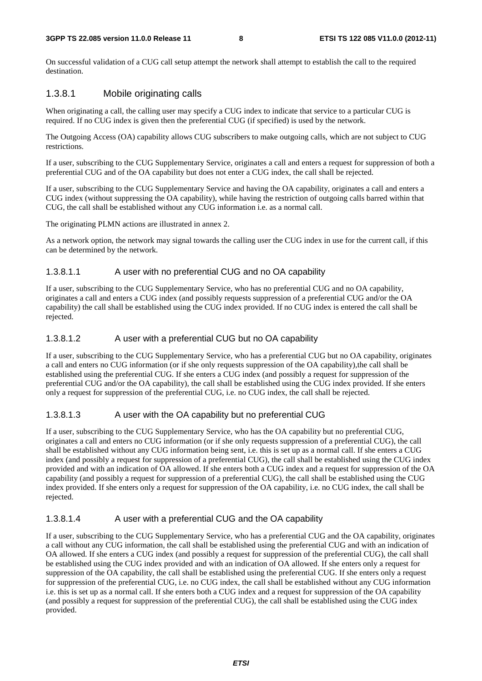On successful validation of a CUG call setup attempt the network shall attempt to establish the call to the required destination.

#### 1.3.8.1 Mobile originating calls

When originating a call, the calling user may specify a CUG index to indicate that service to a particular CUG is required. If no CUG index is given then the preferential CUG (if specified) is used by the network.

The Outgoing Access (OA) capability allows CUG subscribers to make outgoing calls, which are not subject to CUG restrictions.

If a user, subscribing to the CUG Supplementary Service, originates a call and enters a request for suppression of both a preferential CUG and of the OA capability but does not enter a CUG index, the call shall be rejected.

If a user, subscribing to the CUG Supplementary Service and having the OA capability, originates a call and enters a CUG index (without suppressing the OA capability), while having the restriction of outgoing calls barred within that CUG, the call shall be established without any CUG information i.e. as a normal call.

The originating PLMN actions are illustrated in annex 2.

As a network option, the network may signal towards the calling user the CUG index in use for the current call, if this can be determined by the network.

#### 1.3.8.1.1 A user with no preferential CUG and no OA capability

If a user, subscribing to the CUG Supplementary Service, who has no preferential CUG and no OA capability, originates a call and enters a CUG index (and possibly requests suppression of a preferential CUG and/or the OA capability) the call shall be established using the CUG index provided. If no CUG index is entered the call shall be rejected.

#### 1.3.8.1.2 A user with a preferential CUG but no OA capability

If a user, subscribing to the CUG Supplementary Service, who has a preferential CUG but no OA capability, originates a call and enters no CUG information (or if she only requests suppression of the OA capability),the call shall be established using the preferential CUG. If she enters a CUG index (and possibly a request for suppression of the preferential CUG and/or the OA capability), the call shall be established using the CUG index provided. If she enters only a request for suppression of the preferential CUG, i.e. no CUG index, the call shall be rejected.

#### 1.3.8.1.3 A user with the OA capability but no preferential CUG

If a user, subscribing to the CUG Supplementary Service, who has the OA capability but no preferential CUG, originates a call and enters no CUG information (or if she only requests suppression of a preferential CUG), the call shall be established without any CUG information being sent, i.e. this is set up as a normal call. If she enters a CUG index (and possibly a request for suppression of a preferential CUG), the call shall be established using the CUG index provided and with an indication of OA allowed. If she enters both a CUG index and a request for suppression of the OA capability (and possibly a request for suppression of a preferential CUG), the call shall be established using the CUG index provided. If she enters only a request for suppression of the OA capability, i.e. no CUG index, the call shall be rejected.

#### 1.3.8.1.4 A user with a preferential CUG and the OA capability

If a user, subscribing to the CUG Supplementary Service, who has a preferential CUG and the OA capability, originates a call without any CUG information, the call shall be established using the preferential CUG and with an indication of OA allowed. If she enters a CUG index (and possibly a request for suppression of the preferential CUG), the call shall be established using the CUG index provided and with an indication of OA allowed. If she enters only a request for suppression of the OA capability, the call shall be established using the preferential CUG. If she enters only a request for suppression of the preferential CUG, i.e. no CUG index, the call shall be established without any CUG information i.e. this is set up as a normal call. If she enters both a CUG index and a request for suppression of the OA capability (and possibly a request for suppression of the preferential CUG), the call shall be established using the CUG index provided.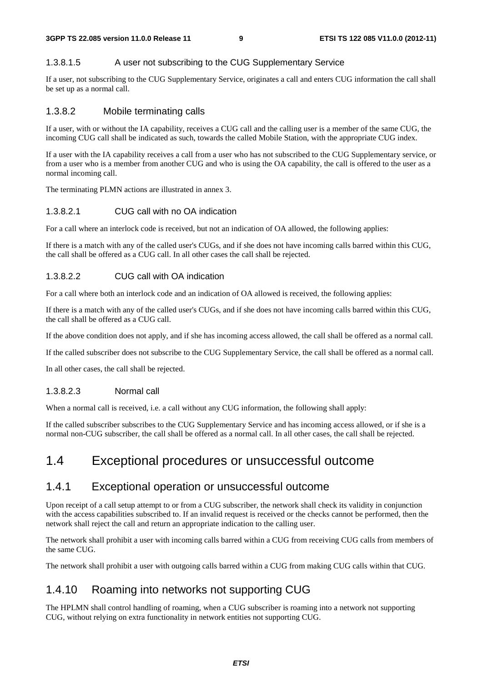#### 1.3.8.1.5 A user not subscribing to the CUG Supplementary Service

If a user, not subscribing to the CUG Supplementary Service, originates a call and enters CUG information the call shall be set up as a normal call.

#### 1.3.8.2 Mobile terminating calls

If a user, with or without the IA capability, receives a CUG call and the calling user is a member of the same CUG, the incoming CUG call shall be indicated as such, towards the called Mobile Station, with the appropriate CUG index.

If a user with the IA capability receives a call from a user who has not subscribed to the CUG Supplementary service, or from a user who is a member from another CUG and who is using the OA capability, the call is offered to the user as a normal incoming call.

The terminating PLMN actions are illustrated in annex 3.

#### 1.3.8.2.1 CUG call with no OA indication

For a call where an interlock code is received, but not an indication of OA allowed, the following applies:

If there is a match with any of the called user's CUGs, and if she does not have incoming calls barred within this CUG, the call shall be offered as a CUG call. In all other cases the call shall be rejected.

#### 1.3.8.2.2 CUG call with OA indication

For a call where both an interlock code and an indication of OA allowed is received, the following applies:

If there is a match with any of the called user's CUGs, and if she does not have incoming calls barred within this CUG, the call shall be offered as a CUG call.

If the above condition does not apply, and if she has incoming access allowed, the call shall be offered as a normal call.

If the called subscriber does not subscribe to the CUG Supplementary Service, the call shall be offered as a normal call.

In all other cases, the call shall be rejected.

#### 1.3.8.2.3 Normal call

When a normal call is received, i.e. a call without any CUG information, the following shall apply:

If the called subscriber subscribes to the CUG Supplementary Service and has incoming access allowed, or if she is a normal non-CUG subscriber, the call shall be offered as a normal call. In all other cases, the call shall be rejected.

### 1.4 Exceptional procedures or unsuccessful outcome

#### 1.4.1 Exceptional operation or unsuccessful outcome

Upon receipt of a call setup attempt to or from a CUG subscriber, the network shall check its validity in conjunction with the access capabilities subscribed to. If an invalid request is received or the checks cannot be performed, then the network shall reject the call and return an appropriate indication to the calling user.

The network shall prohibit a user with incoming calls barred within a CUG from receiving CUG calls from members of the same CUG.

The network shall prohibit a user with outgoing calls barred within a CUG from making CUG calls within that CUG.

### 1.4.10 Roaming into networks not supporting CUG

The HPLMN shall control handling of roaming, when a CUG subscriber is roaming into a network not supporting CUG, without relying on extra functionality in network entities not supporting CUG.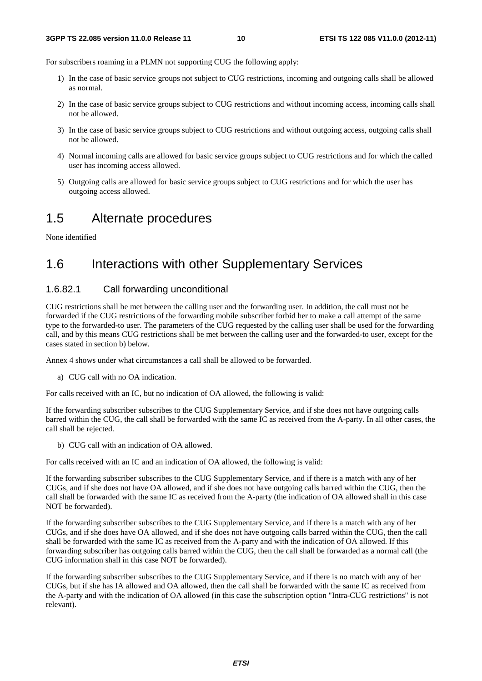For subscribers roaming in a PLMN not supporting CUG the following apply:

- 1) In the case of basic service groups not subject to CUG restrictions, incoming and outgoing calls shall be allowed as normal.
- 2) In the case of basic service groups subject to CUG restrictions and without incoming access, incoming calls shall not be allowed.
- 3) In the case of basic service groups subject to CUG restrictions and without outgoing access, outgoing calls shall not be allowed.
- 4) Normal incoming calls are allowed for basic service groups subject to CUG restrictions and for which the called user has incoming access allowed.
- 5) Outgoing calls are allowed for basic service groups subject to CUG restrictions and for which the user has outgoing access allowed.

# 1.5 Alternate procedures

None identified

### 1.6 Interactions with other Supplementary Services

#### 1.6.82.1 Call forwarding unconditional

CUG restrictions shall be met between the calling user and the forwarding user. In addition, the call must not be forwarded if the CUG restrictions of the forwarding mobile subscriber forbid her to make a call attempt of the same type to the forwarded-to user. The parameters of the CUG requested by the calling user shall be used for the forwarding call, and by this means CUG restrictions shall be met between the calling user and the forwarded-to user, except for the cases stated in section b) below.

Annex 4 shows under what circumstances a call shall be allowed to be forwarded.

a) CUG call with no OA indication.

For calls received with an IC, but no indication of OA allowed, the following is valid:

If the forwarding subscriber subscribes to the CUG Supplementary Service, and if she does not have outgoing calls barred within the CUG, the call shall be forwarded with the same IC as received from the A-party. In all other cases, the call shall be rejected.

b) CUG call with an indication of OA allowed.

For calls received with an IC and an indication of OA allowed, the following is valid:

If the forwarding subscriber subscribes to the CUG Supplementary Service, and if there is a match with any of her CUGs, and if she does not have OA allowed, and if she does not have outgoing calls barred within the CUG, then the call shall be forwarded with the same IC as received from the A-party (the indication of OA allowed shall in this case NOT be forwarded).

If the forwarding subscriber subscribes to the CUG Supplementary Service, and if there is a match with any of her CUGs, and if she does have OA allowed, and if she does not have outgoing calls barred within the CUG, then the call shall be forwarded with the same IC as received from the A-party and with the indication of OA allowed. If this forwarding subscriber has outgoing calls barred within the CUG, then the call shall be forwarded as a normal call (the CUG information shall in this case NOT be forwarded).

If the forwarding subscriber subscribes to the CUG Supplementary Service, and if there is no match with any of her CUGs, but if she has IA allowed and OA allowed, then the call shall be forwarded with the same IC as received from the A-party and with the indication of OA allowed (in this case the subscription option "Intra-CUG restrictions" is not relevant).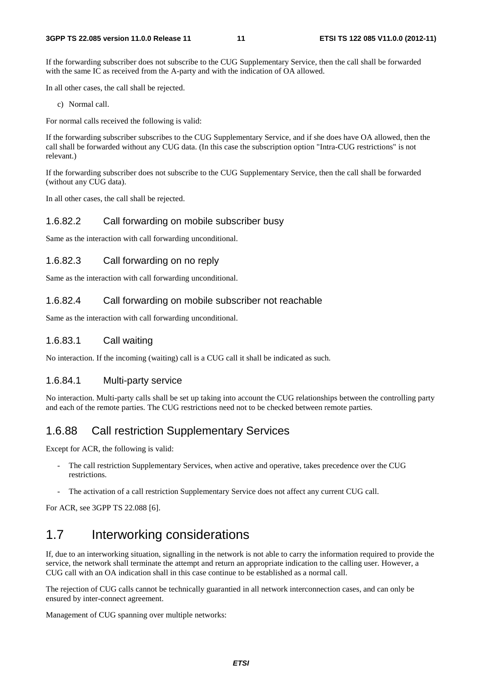If the forwarding subscriber does not subscribe to the CUG Supplementary Service, then the call shall be forwarded with the same IC as received from the A-party and with the indication of OA allowed.

In all other cases, the call shall be rejected.

c) Normal call.

For normal calls received the following is valid:

If the forwarding subscriber subscribes to the CUG Supplementary Service, and if she does have OA allowed, then the call shall be forwarded without any CUG data. (In this case the subscription option "Intra-CUG restrictions" is not relevant.)

If the forwarding subscriber does not subscribe to the CUG Supplementary Service, then the call shall be forwarded (without any CUG data).

In all other cases, the call shall be rejected.

#### 1.6.82.2 Call forwarding on mobile subscriber busy

Same as the interaction with call forwarding unconditional.

#### 1.6.82.3 Call forwarding on no reply

Same as the interaction with call forwarding unconditional.

#### 1.6.82.4 Call forwarding on mobile subscriber not reachable

Same as the interaction with call forwarding unconditional.

#### 1.6.83.1 Call waiting

No interaction. If the incoming (waiting) call is a CUG call it shall be indicated as such.

#### 1.6.84.1 Multi-party service

No interaction. Multi-party calls shall be set up taking into account the CUG relationships between the controlling party and each of the remote parties. The CUG restrictions need not to be checked between remote parties.

#### 1.6.88 Call restriction Supplementary Services

Except for ACR, the following is valid:

- The call restriction Supplementary Services, when active and operative, takes precedence over the CUG restrictions.
- The activation of a call restriction Supplementary Service does not affect any current CUG call.

For ACR, see 3GPP TS 22.088 [6].

### 1.7 Interworking considerations

If, due to an interworking situation, signalling in the network is not able to carry the information required to provide the service, the network shall terminate the attempt and return an appropriate indication to the calling user. However, a CUG call with an OA indication shall in this case continue to be established as a normal call.

The rejection of CUG calls cannot be technically guarantied in all network interconnection cases, and can only be ensured by inter-connect agreement.

Management of CUG spanning over multiple networks: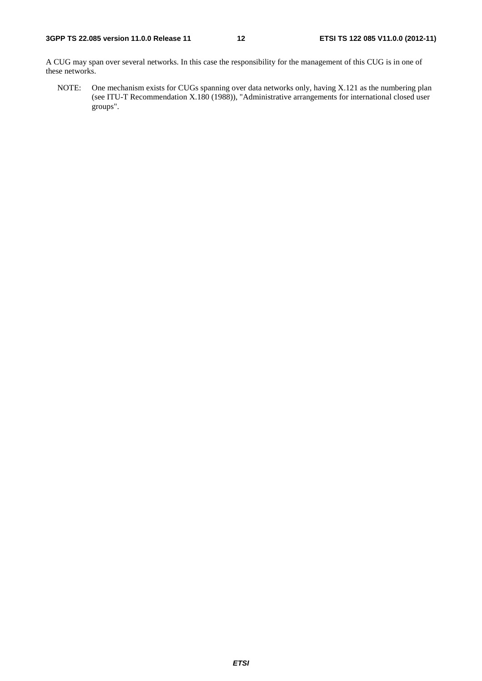A CUG may span over several networks. In this case the responsibility for the management of this CUG is in one of these networks.

NOTE: One mechanism exists for CUGs spanning over data networks only, having X.121 as the numbering plan (see ITU-T Recommendation X.180 (1988)), "Administrative arrangements for international closed user groups".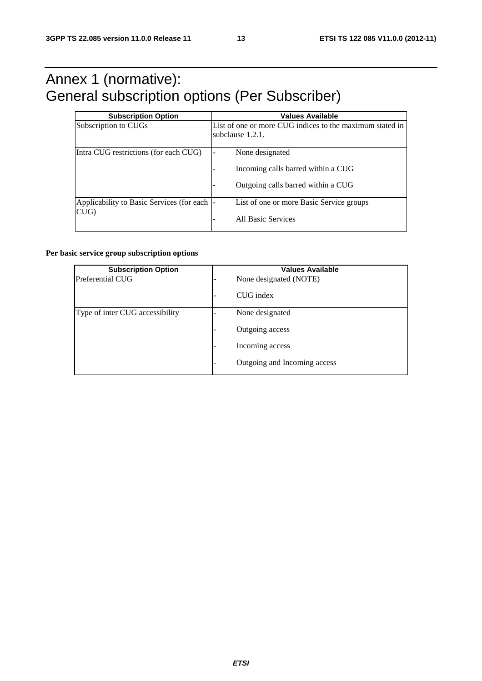# Annex 1 (normative): General subscription options (Per Subscriber)

| <b>Subscription Option</b>                          | <b>Values Available</b>                                                                     |  |  |  |
|-----------------------------------------------------|---------------------------------------------------------------------------------------------|--|--|--|
| Subscription to CUGs                                | List of one or more CUG indices to the maximum stated in<br>subclause 1.2.1.                |  |  |  |
| Intra CUG restrictions (for each CUG)               | None designated<br>Incoming calls barred within a CUG<br>Outgoing calls barred within a CUG |  |  |  |
| Applicability to Basic Services (for each  -<br>CUG | List of one or more Basic Service groups<br>All Basic Services                              |  |  |  |

#### **Per basic service group subscription options**

| <b>Subscription Option</b>      |                 | <b>Values Available</b>      |
|---------------------------------|-----------------|------------------------------|
| Preferential CUG                |                 | None designated (NOTE)       |
|                                 | $\qquad \qquad$ | CUG index                    |
| Type of inter CUG accessibility |                 | None designated              |
|                                 |                 | Outgoing access              |
|                                 |                 | Incoming access              |
|                                 |                 | Outgoing and Incoming access |

*ETSI*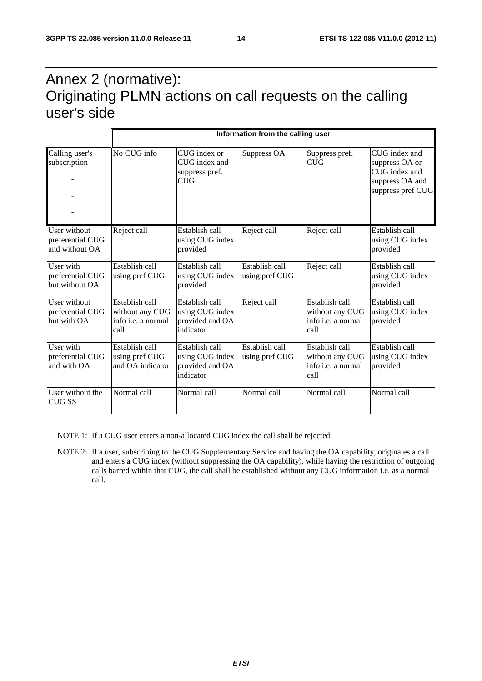# Annex 2 (normative): Originating PLMN actions on call requests on the calling user's side

|                                                    | Information from the calling user                                      |                                                                   |                                  |                                                                  |                                                                                          |  |  |  |  |
|----------------------------------------------------|------------------------------------------------------------------------|-------------------------------------------------------------------|----------------------------------|------------------------------------------------------------------|------------------------------------------------------------------------------------------|--|--|--|--|
| Calling user's<br>subscription                     | No CUG info                                                            | CUG index or<br>CUG index and<br>suppress pref.<br><b>CUG</b>     | Suppress OA                      | Suppress pref.<br><b>CUG</b>                                     | CUG index and<br>suppress OA or<br>CUG index and<br>suppress OA and<br>suppress pref CUG |  |  |  |  |
| User without<br>preferential CUG<br>and without OA | Reject call                                                            | Establish call<br>using CUG index<br>provided                     | Reject call                      | Reject call                                                      | Establish call<br>using CUG index<br>provided                                            |  |  |  |  |
| User with<br>preferential CUG<br>but without OA    | Establish call<br>using pref CUG                                       | Establish call<br>using CUG index<br>provided                     | Establish call<br>using pref CUG | Reject call                                                      | Establish call<br>using CUG index<br>provided                                            |  |  |  |  |
| User without<br>preferential CUG<br>but with OA    | Establish call<br>without any CUG<br>info <i>i.e.</i> a normal<br>call | Establish call<br>using CUG index<br>provided and OA<br>indicator | Reject call                      | Establish call<br>without any CUG<br>linfo i.e. a normal<br>call | Establish call<br>using CUG index<br>provided                                            |  |  |  |  |
| User with<br>preferential CUG<br>and with OA       | Establish call<br>using pref CUG<br>and OA indicator                   | Establish call<br>using CUG index<br>provided and OA<br>indicator | Establish call<br>using pref CUG | Establish call<br>without any CUG<br>info i.e. a normal<br>call  | Establish call<br>using CUG index<br>provided                                            |  |  |  |  |
| User without the<br><b>CUG SS</b>                  | Normal call                                                            | Normal call                                                       | Normal call                      | Normal call                                                      | Normal call                                                                              |  |  |  |  |

NOTE 1: If a CUG user enters a non-allocated CUG index the call shall be rejected.

NOTE 2: If a user, subscribing to the CUG Supplementary Service and having the OA capability, originates a call and enters a CUG index (without suppressing the OA capability), while having the restriction of outgoing calls barred within that CUG, the call shall be established without any CUG information i.e. as a normal call.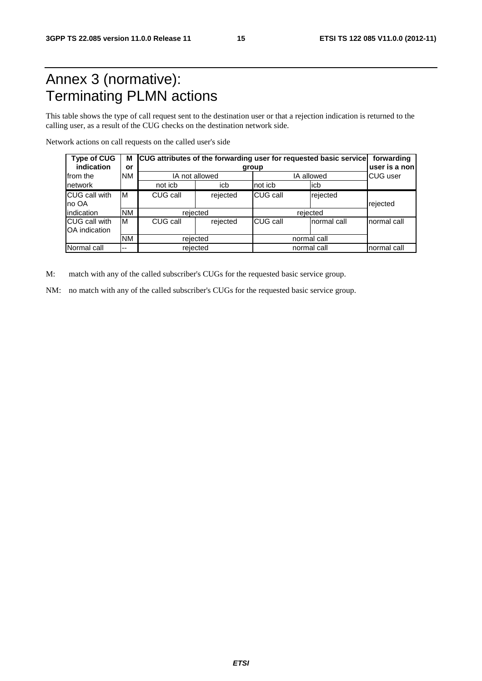# Annex 3 (normative): Terminating PLMN actions

This table shows the type of call request sent to the destination user or that a rejection indication is returned to the calling user, as a result of the CUG checks on the destination network side.

Network actions on call requests on the called user's side

| <b>Type of CUG</b><br>indication      | or                       | M CUG attributes of the forwarding user for requested basic service | forwarding<br>user is a non |                 |              |             |  |
|---------------------------------------|--------------------------|---------------------------------------------------------------------|-----------------------------|-----------------|--------------|-------------|--|
| Ifrom the                             | <b>NM</b>                |                                                                     | IA not allowed              |                 | IA allowed   |             |  |
| network                               |                          | not icb                                                             | icb                         | not icb         | licb         |             |  |
| <b>CUG call with</b><br>no OA         | ΙM                       | CUG call                                                            | rejected                    | CUG call        | rejected     | rejected    |  |
| indication                            | <b>NM</b>                |                                                                     | rejected                    | rejected        |              |             |  |
| <b>CUG</b> call with<br>OA indication | ΙM                       | CUG call                                                            | rejected                    | <b>CUG call</b> | Inormal call | normal call |  |
|                                       | <b>NM</b>                |                                                                     | rejected                    |                 | normal call  |             |  |
| Normal call                           | $\overline{\phantom{a}}$ |                                                                     | rejected                    | normal call     | normal call  |             |  |

M: match with any of the called subscriber's CUGs for the requested basic service group.

NM: no match with any of the called subscriber's CUGs for the requested basic service group.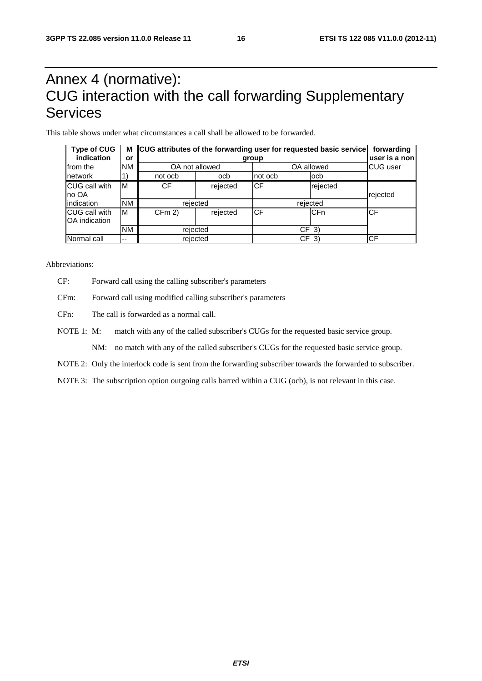# Annex 4 (normative): CUG interaction with the call forwarding Supplementary Services

This table shows under what circumstances a call shall be allowed to be forwarded.

| <b>Type of CUG</b><br>indication | м<br>or   |           | CUG attributes of the forwarding user for requested basic service<br>forwarding<br>user is a non |           |                 |           |  |
|----------------------------------|-----------|-----------|--------------------------------------------------------------------------------------------------|-----------|-----------------|-----------|--|
| from the                         | <b>NM</b> |           | OA not allowed                                                                                   |           | OA allowed      |           |  |
| network                          |           | not ocb   | ocb                                                                                              | not ocb   | locb            |           |  |
| CUG call with<br>no OA           | M         | <b>CF</b> | rejected                                                                                         | <b>CF</b> | rejected        | rejected  |  |
| lindication                      | <b>NM</b> |           | rejected                                                                                         |           |                 |           |  |
| CUG call with<br>OA indication   | M         | CFm 2     | rejected                                                                                         | <b>CF</b> | <b>CFn</b>      | <b>CF</b> |  |
|                                  | <b>NM</b> |           | rejected                                                                                         |           | CF <sub>3</sub> |           |  |
| Normal call                      | $- -$     |           | rejected                                                                                         |           | CF<br>-3)       |           |  |

Abbreviations:

- CF: Forward call using the calling subscriber's parameters
- CFm: Forward call using modified calling subscriber's parameters
- CFn: The call is forwarded as a normal call.
- NOTE 1: M: match with any of the called subscriber's CUGs for the requested basic service group.

NM: no match with any of the called subscriber's CUGs for the requested basic service group.

NOTE 2: Only the interlock code is sent from the forwarding subscriber towards the forwarded to subscriber.

NOTE 3: The subscription option outgoing calls barred within a CUG (ocb), is not relevant in this case.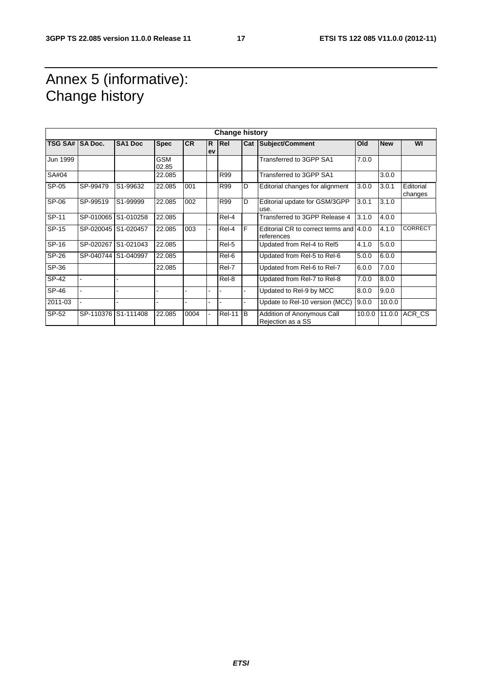# Annex 5 (informative): Change history

| <b>Change history</b> |           |                     |                     |           |                    |               |   |                                                       |        |            |                      |
|-----------------------|-----------|---------------------|---------------------|-----------|--------------------|---------------|---|-------------------------------------------------------|--------|------------|----------------------|
| TSG SA# SA Doc.       |           | SA <sub>1</sub> Doc | <b>Spec</b>         | <b>CR</b> | $\mathsf{R}$<br>ev | Rel           |   | Cat Subject/Comment                                   | Old    | <b>New</b> | WI                   |
| Jun 1999              |           |                     | <b>GSM</b><br>02.85 |           |                    |               |   | Transferred to 3GPP SA1                               | 7.0.0  |            |                      |
| SA#04                 |           |                     | 22.085              |           |                    | R99           |   | Transferred to 3GPP SA1                               |        | 3.0.0      |                      |
| SP-05                 | SP-99479  | S1-99632            | 22.085              | 001       |                    | R99           | D | Editorial changes for alignment                       | 3.0.0  | 3.0.1      | Editorial<br>changes |
| SP-06                 | SP-99519  | S1-99999            | 22.085              | 002       |                    | R99           | D | Editorial update for GSM/3GPP<br>use.                 | 3.0.1  | 3.1.0      |                      |
| SP-11                 | SP-010065 | S1-010258           | 22.085              |           |                    | Rel-4         |   | Transferred to 3GPP Release 4                         | 3.1.0  | 4.0.0      |                      |
| SP-15                 | SP-020045 | S1-020457           | 22.085              | 003       |                    | Rel-4         | F | Editorial CR to correct terms and 4.0.0<br>references |        | 4.1.0      | <b>CORRECT</b>       |
| SP-16                 | SP-020267 | S1-021043           | 22.085              |           |                    | Rel-5         |   | Updated from Rel-4 to Rel5                            | 4.1.0  | 5.0.0      |                      |
| SP-26                 |           | SP-040744 S1-040997 | 22.085              |           |                    | Rel-6         |   | Updated from Rel-5 to Rel-6                           | 5.0.0  | 6.0.0      |                      |
| SP-36                 |           |                     | 22.085              |           |                    | Rel-7         |   | Updated from Rel-6 to Rel-7                           | 6.0.0  | 7.0.0      |                      |
| SP-42                 |           |                     |                     |           |                    | Rel-8         |   | Updated from Rel-7 to Rel-8                           | 7.0.0  | 8.0.0      |                      |
| SP-46                 |           |                     |                     |           |                    |               |   | Updated to Rel-9 by MCC                               | 8.0.0  | 9.0.0      |                      |
| 2011-03               |           |                     | L.                  |           |                    |               |   | Update to Rel-10 version (MCC)                        | 9.0.0  | 10.0.0     |                      |
| SP-52                 | SP-110376 | S1-111408           | 22.085              | 0004      | L,                 | <b>Rel-11</b> | B | Addition of Anonymous Call<br>Rejection as a SS       | 10.0.0 | 11.0.0     | ACR CS               |